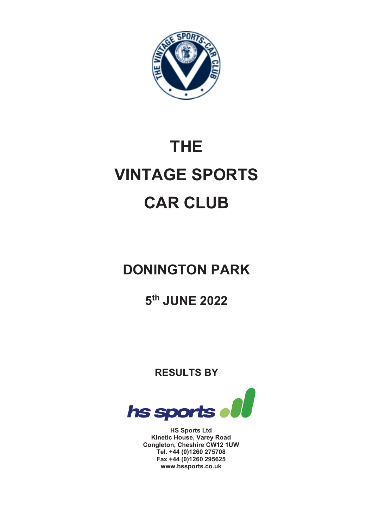

# **THE VINTAGE SPORTS CAR CLUB**

# **DONINGTON PARK**

# **5 th JUNE 2022**

**RESULTS BY** 



**HS Sports Ltd Kinetic House, Varey Road Congleton, Cheshire CW12 1UW Tel. +44 (0)1260 275708 Fax +44 (0)1260 295625 www.hssports.co.uk**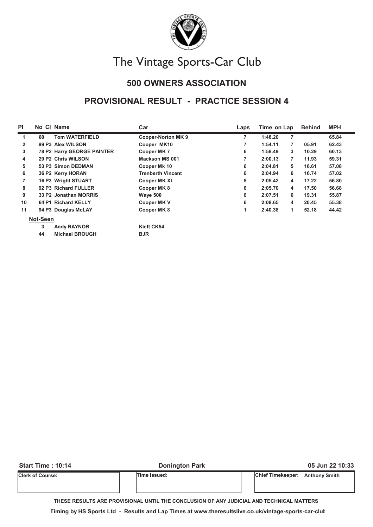

The Vintage Sports-Car Club

## **500 OWNERS ASSOCIATION**

#### **PROVISIONAL RESULT - PRACTICE SESSION 4**

| <b>PI</b>    |          | No CI Name                 | Car<br>Laps               |   | Time on Lap |   | <b>Behind</b> | <b>MPH</b> |
|--------------|----------|----------------------------|---------------------------|---|-------------|---|---------------|------------|
| 1            | 60       | <b>Tom WATERFIELD</b>      | <b>Cooper-Norton MK 9</b> | 7 | 1:48.20     | 7 |               | 65.84      |
| $\mathbf{2}$ |          | 99 P3 Alex WILSON          | Cooper MK10               | 7 | 1:54.11     | 7 | 05.91         | 62.43      |
| 3            |          | 78 P2 Harry GEORGE PAINTER | Cooper MK 7               | 6 | 1:58.49     | 3 | 10.29         | 60.13      |
| 4            |          | 29 P2 Chris WILSON         | <b>Mackson MS 001</b>     | 7 | 2:00.13     | 7 | 11.93         | 59.31      |
| 5            |          | 53 P3 Simon DEDMAN         | Cooper Mk 10              | 6 | 2:04.81     | 5 | 16.61         | 57.08      |
| 6            |          | 36 P2 Kerry HORAN          | <b>Trenberth Vincent</b>  | 6 | 2:04.94     | 6 | 16.74         | 57.02      |
| 7            |          | <b>16 P3 Wright STUART</b> | <b>Cooper MK XI</b>       | 5 | 2:05.42     | 4 | 17.22         | 56.80      |
| 8            |          | 92 P3 Richard FULLER       | Cooper MK 8               | 6 | 2:05.70     | 4 | 17.50         | 56.68      |
| 9            |          | 33 P2 Jonathan MORRIS      | <b>Waye 500</b>           | 6 | 2:07.51     | 6 | 19.31         | 55.87      |
| 10           |          | 64 P1 Richard KELLY        | <b>Cooper MK V</b>        | 6 | 2:08.65     | 4 | 20.45         | 55.38      |
| 11           |          | 94 P3 Douglas McLAY        | Cooper MK 8               | 1 | 2:40.38     | 1 | 52.18         | 44.42      |
|              | Not-Seen |                            |                           |   |             |   |               |            |
|              | 3        | <b>Andy RAYNOR</b>         | <b>Kieft CK54</b>         |   |             |   |               |            |
|              | 44       | <b>Michael BROUGH</b>      | <b>BJR</b>                |   |             |   |               |            |

**Start Time : 10:14 Donington Park 05 Jun 22 10:33 Clerk of Course: Time Issued: Chief Timekeeper: Anthony Smith**

**THESE RESULTS ARE PROVISIONAL UNTIL THE CONCLUSION OF ANY JUDICIAL AND TECHNICAL MATTERS**

**Timing by HS Sports Ltd - Results and Lap Times at www.theresultslive.co.uk/vintage-sports-car-club**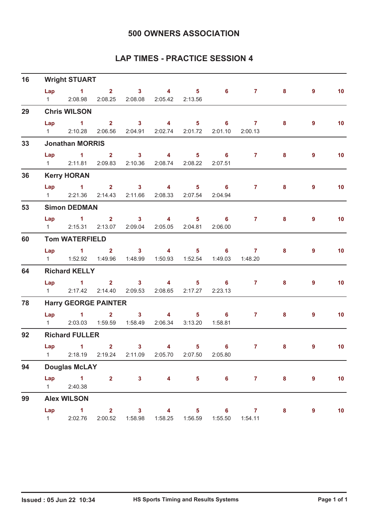### **500 OWNERS ASSOCIATION**

#### **LAP TIMES - PRACTICE SESSION 4**

| 16 | <b>Wright STUART</b>        |                                                                   |          |                                                      |                         |                            |                                                                                               |                                        |         |             |                 |  |  |  |
|----|-----------------------------|-------------------------------------------------------------------|----------|------------------------------------------------------|-------------------------|----------------------------|-----------------------------------------------------------------------------------------------|----------------------------------------|---------|-------------|-----------------|--|--|--|
|    | Lap<br>$1 \quad \Box$       | $1 \t 2 \t 3$<br>2:08.98                                          |          | 2:08.25 2:08.08 2:05.42 2:13.56                      | $\sim$ 4                |                            | $5 \t\t 6$                                                                                    | 7 <sup>7</sup>                         | 8       | 9           | 10 <sub>1</sub> |  |  |  |
| 29 |                             | <b>Chris WILSON</b>                                               |          |                                                      |                         |                            |                                                                                               |                                        |         |             |                 |  |  |  |
|    | $1 \quad \Box$              | Lap 1 2 3 4<br>2:10.28                                            |          | 2:06.56 2:04.91 2:02.74 2:01.72                      |                         | $\overline{\phantom{a}}$ 5 |                                                                                               | $6 \qquad \qquad 7$<br>2:01.10 2:00.13 | 8       | 9           | 10 <sup>°</sup> |  |  |  |
| 33 | <b>Jonathan MORRIS</b>      |                                                                   |          |                                                      |                         |                            |                                                                                               |                                        |         |             |                 |  |  |  |
|    | Lap                         | $\blacktriangleleft$<br>1 2:11.81 2:09.83 2:10.36 2:08.74 2:08.22 | $\sim$ 2 | $\sim$ 3                                             | $\overline{4}$          |                            | $5 \t\t 6$<br>2:07.51                                                                         | 7 <sup>7</sup>                         | 8       | 9           | 10 <sub>1</sub> |  |  |  |
| 36 | <b>Kerry HORAN</b>          |                                                                   |          |                                                      |                         |                            |                                                                                               |                                        |         |             |                 |  |  |  |
|    | $1 \quad \Box$              | Lap 1 2 3 4 5 6                                                   |          | 2:21.36 2:14.43 2:11.66 2:08.33 2:07.54 2:04.94      |                         |                            |                                                                                               | 7 <sup>7</sup>                         | 8       | 9           | 10 <sub>1</sub> |  |  |  |
| 53 | <b>Simon DEDMAN</b>         |                                                                   |          |                                                      |                         |                            |                                                                                               |                                        |         |             |                 |  |  |  |
|    | Lap<br>$1 \quad \Box$       | $\sim$ $\sim$ $\sim$ $\sim$ $\sim$<br>2:15.31                     |          | 2:13.07  2:09.04  2:05.05  2:04.81                   |                         |                            | $2 \qquad 3 \qquad 4 \qquad 5 \qquad 6$<br>$7 \quad \overline{\phantom{1}}$<br>2:06.00        |                                        | 8       | 9           | 10 <sub>1</sub> |  |  |  |
| 60 | <b>Tom WATERFIELD</b>       |                                                                   |          |                                                      |                         |                            |                                                                                               |                                        |         |             |                 |  |  |  |
|    |                             |                                                                   |          |                                                      |                         |                            | Lap 1 2 3 4 5 6 7<br>1   1:52.92   1:49.96   1:48.99   1:50.93   1:52.54   1:49.03<br>1:48.20 |                                        | 8       | 9           | 10 <sup>°</sup> |  |  |  |
| 64 | <b>Richard KELLY</b>        |                                                                   |          |                                                      |                         |                            |                                                                                               |                                        |         |             |                 |  |  |  |
|    | Lap                         | $\mathbf{1}$<br>1 2:17.42 2:14.40 2:09.53 2:08.65 2:17.27         |          | $2 \qquad 3 \qquad 4$                                |                         |                            | $5 \t\t 6$<br>2:23.13                                                                         | $\overline{7}$                         | 8       | 9           | 10 <sub>1</sub> |  |  |  |
| 78 | <b>Harry GEORGE PAINTER</b> |                                                                   |          |                                                      |                         |                            |                                                                                               |                                        |         |             |                 |  |  |  |
|    | $1 \quad \Box$              | Lap 1 2 3 4 5 6                                                   |          | 2:03.03  1:59.59  1:58.49  2:06.34  3:13.20  1:58.81 |                         |                            |                                                                                               | $7 \pm 7$                              | 8       | 9           | 10 <sub>1</sub> |  |  |  |
| 92 | <b>Richard FULLER</b>       |                                                                   |          |                                                      |                         |                            |                                                                                               |                                        |         |             |                 |  |  |  |
|    |                             | Lap 1<br>1 2:18.19 2:19.24 2:11.09 2:05.70 2:07.50 2:05.80        |          | $\overline{\mathbf{2}}$<br>3 <sup>7</sup>            | $\overline{\mathbf{4}}$ |                            | $5 \t\t 6$                                                                                    | $\mathbf{7}$                           | 8       | 9           | 10 <sup>°</sup> |  |  |  |
| 94 | <b>Douglas McLAY</b>        |                                                                   |          |                                                      |                         |                            |                                                                                               |                                        |         |             |                 |  |  |  |
|    | $1 \quad \Box$              | 2:40.38                                                           |          |                                                      |                         |                            |                                                                                               | Lap 1 2 3 4 5 6 7                      | $8 - 1$ | $9^{\circ}$ | 10              |  |  |  |
| 99 |                             | <b>Alex WILSON</b>                                                |          |                                                      |                         |                            |                                                                                               |                                        |         |             |                 |  |  |  |
|    | $1 \quad \Box$              | Lap 1 2<br>2:02.76                                                |          | 2:00.52  1:58.98  1:58.25  1:56.59  1:55.50  1:54.11 | $3 \t 4$                |                            | 5 6 7                                                                                         |                                        | 8       | 9           | 10 <sub>1</sub> |  |  |  |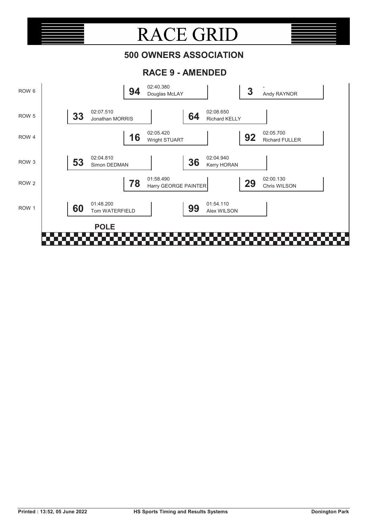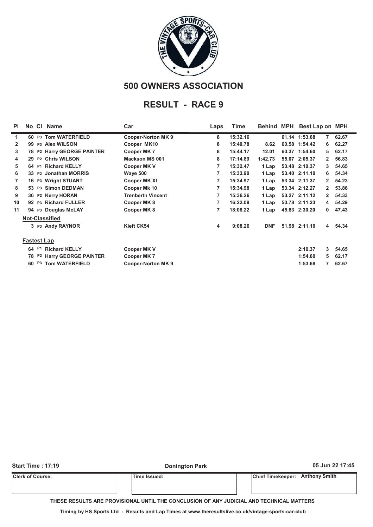

**500 OWNERS ASSOCIATION**

## **RESULT - RACE 9**

| ΡI |                    |                   | No CI Name                  | Car                       | Laps | Time     | <b>Behind MPH</b> | <b>Best Lap on MPH</b> |                |       |
|----|--------------------|-------------------|-----------------------------|---------------------------|------|----------|-------------------|------------------------|----------------|-------|
| 1  | 60                 |                   | P3 Tom WATERFIELD           | <b>Cooper-Norton MK 9</b> | 8    | 15:32.16 |                   | 61.14 1:53.68          | $\overline{7}$ | 62.67 |
| 2  |                    |                   | 99 P3 Alex WILSON           | Cooper MK10               | 8    | 15:40.78 | 8.62              | 60.58 1:54.42          | 6              | 62.27 |
| 3  |                    |                   | 78 P2 Harry GEORGE PAINTER  | Cooper MK 7               | 8    | 15:44.17 | 12.01             | 60.37 1:54.60          | 5.             | 62.17 |
| 4  | 29                 |                   | P2 Chris WILSON             | <b>Mackson MS 001</b>     | 8    | 17:14.89 | 1:42.73           | 55.07 2:05.37          | $\mathbf{2}$   | 56.83 |
| 5  | 64                 | <b>P1</b>         | <b>Richard KELLY</b>        | <b>Cooper MK V</b>        | 7    | 15:32.47 | 1 Lap             | 53.48 2:10.37          | 3              | 54.65 |
| 6  |                    | 33 P <sub>2</sub> | Jonathan MORRIS             | <b>Waye 500</b>           | 7    | 15:33.90 | 1 Lap             | 53.40 2:11.10          | 6              | 54.34 |
| 7  |                    |                   | 16 P3 Wright STUART         | <b>Cooper MK XI</b>       | 7    | 15:34.97 | 1 Lap             | 53.34 2:11.37          | $\mathbf{2}$   | 54.23 |
| 8  |                    |                   | 53 P3 Simon DEDMAN          | Cooper Mk 10              | 7    | 15:34.98 | 1 Lap             | 53.34 2:12.27          | $\mathbf{2}$   | 53.86 |
| 9  |                    |                   | 36 P2 Kerry HORAN           | <b>Trenberth Vincent</b>  |      | 15:36.26 | 1 Lap             | 53.27 2:11.12          | $2^{\circ}$    | 54.33 |
| 10 | 92                 |                   | P3 Richard FULLER           | Cooper MK 8               |      | 16:22.08 | 1 Lap             | 50.78 2:11.23          | 4              | 54.29 |
| 11 |                    |                   | 94 P3 Douglas McLAY         | Cooper MK 8               | 7    | 18:08.22 | 1 Lap             | 45.83 2:30.20          | 0              | 47.43 |
|    |                    |                   | <b>Not-Classified</b>       |                           |      |          |                   |                        |                |       |
|    |                    |                   | 3 P3 Andy RAYNOR            | <b>Kieft CK54</b>         | 4    | 9:08.26  | <b>DNF</b>        | 51.98 2:11.10          | 4              | 54.34 |
|    | <b>Fastest Lap</b> |                   |                             |                           |      |          |                   |                        |                |       |
|    |                    | 64 P1             | <b>Richard KELLY</b>        | <b>Cooper MK V</b>        |      |          |                   | 2:10.37                | 3              | 54.65 |
|    | 78                 | P2                | <b>Harry GEORGE PAINTER</b> | Cooper MK 7               |      |          |                   | 1:54.60                | 5              | 62.17 |
|    | 60                 | P3                | <b>Tom WATERFIELD</b>       | <b>Cooper-Norton MK9</b>  |      |          |                   | 1:53.68                | 7              | 62.67 |

| <b>Start Time : 17:19</b> | <b>Donington Park</b> | 05 Jun 22 17:45                 |  |  |  |  |  |  |
|---------------------------|-----------------------|---------------------------------|--|--|--|--|--|--|
| <b>Clerk of Course:</b>   | <b>ITime Issued:</b>  | Chief Timekeeper: Anthony Smith |  |  |  |  |  |  |

**THESE RESULTS ARE PROVISIONAL UNTIL THE CONCLUSION OF ANY JUDICIAL AND TECHNICAL MATTERS**

**Timing by HS Sports Ltd - Results and Lap Times at www.theresultslive.co.uk/vintage-sports-car-club**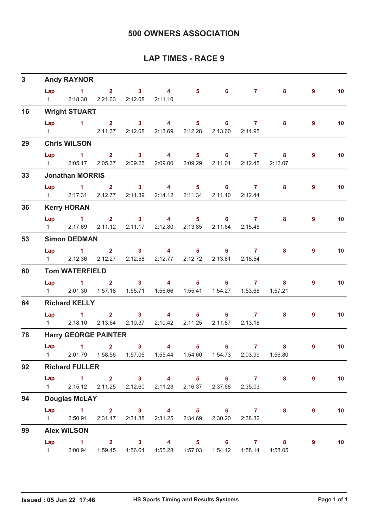### **500 OWNERS ASSOCIATION**

#### **LAP TIMES - RACE 9**

| $3\phantom{a}$ |                        | <b>Andy RAYNOR</b>                                                       |  |                                    |                                                               |  |  |  |                                                                           |                |                 |  |  |  |
|----------------|------------------------|--------------------------------------------------------------------------|--|------------------------------------|---------------------------------------------------------------|--|--|--|---------------------------------------------------------------------------|----------------|-----------------|--|--|--|
|                |                        | Lap 1 2 3 4 5 6 7                                                        |  |                                    |                                                               |  |  |  | 8                                                                         | $\overline{9}$ | 10              |  |  |  |
|                | $1 \quad \blacksquare$ |                                                                          |  | 2:18.30  2:21.63  2:12.08  2:11.10 |                                                               |  |  |  |                                                                           |                |                 |  |  |  |
| 16             |                        | <b>Wright STUART</b>                                                     |  |                                    |                                                               |  |  |  |                                                                           |                |                 |  |  |  |
|                |                        |                                                                          |  |                                    |                                                               |  |  |  | Lap 1 2 3 4 5 6 7 8 9                                                     |                | 10              |  |  |  |
|                |                        | 1 2:11.37 2:12.08 2:13.69 2:12.28 2:13.60 2:14.95                        |  |                                    |                                                               |  |  |  |                                                                           |                |                 |  |  |  |
| 29             |                        | <b>Chris WILSON</b>                                                      |  |                                    |                                                               |  |  |  |                                                                           |                |                 |  |  |  |
|                | Lap                    | $\sim$ 1.000 $\sim$ 1.000 $\sim$                                         |  |                                    |                                                               |  |  |  | $2 \qquad 3 \qquad 4 \qquad 5 \qquad 6 \qquad 7 \qquad 8$                 | 9              | 10              |  |  |  |
|                |                        | 1 2:05.17 2:05.37 2:09.25 2:09.00 2:09.29 2:11.01 2:12.45 2:12.07        |  |                                    |                                                               |  |  |  |                                                                           |                |                 |  |  |  |
| 33             |                        | <b>Jonathan MORRIS</b>                                                   |  |                                    |                                                               |  |  |  |                                                                           |                |                 |  |  |  |
|                |                        | Lap 1 2 3 4 5 6 7                                                        |  |                                    |                                                               |  |  |  | 8 <sup>8</sup>                                                            | 9              | 10 <sub>1</sub> |  |  |  |
|                |                        | 1 2:17.31 2:12.77 2:11.39 2:14.12 2:11.34 2:11.10 2:12.44                |  |                                    |                                                               |  |  |  |                                                                           |                |                 |  |  |  |
| 36             |                        | <b>Kerry HORAN</b>                                                       |  |                                    |                                                               |  |  |  |                                                                           |                |                 |  |  |  |
|                |                        | Lap 1 2 3 4 5 6 7                                                        |  |                                    |                                                               |  |  |  | $8 - 1$                                                                   | 9              | 10 <sub>1</sub> |  |  |  |
|                | $1 \quad \Box$         | 2:17.69                                                                  |  |                                    | 2:11.12  2:11.17  2:12.80  2:13.85  2:11.64  2:15.45          |  |  |  |                                                                           |                |                 |  |  |  |
| 53             |                        | <b>Simon DEDMAN</b>                                                      |  |                                    |                                                               |  |  |  |                                                                           |                |                 |  |  |  |
|                |                        | Lap 1                                                                    |  |                                    |                                                               |  |  |  | 2 3 4 5 6 7 8 9                                                           |                | 10              |  |  |  |
|                |                        | 1 2:12.36 2:12.27 2:12.58 2:12.77 2:12.72 2:13.61 2:16.54                |  |                                    |                                                               |  |  |  |                                                                           |                |                 |  |  |  |
| 60             | <b>Tom WATERFIELD</b>  |                                                                          |  |                                    |                                                               |  |  |  |                                                                           |                |                 |  |  |  |
|                |                        |                                                                          |  |                                    |                                                               |  |  |  | Lap 1 2 3 4 5 6 7 8                                                       | 9              | 10              |  |  |  |
|                |                        | 1 2:01.30  1:57.18  1:55.71  1:56.66  1:55.41  1:54.27  1:53.68  1:57.21 |  |                                    |                                                               |  |  |  |                                                                           |                |                 |  |  |  |
| 64             |                        | <b>Richard KELLY</b>                                                     |  |                                    |                                                               |  |  |  |                                                                           |                |                 |  |  |  |
|                |                        | Lap 1 2 3 4 5 6 7                                                        |  |                                    |                                                               |  |  |  | $8 - 1$                                                                   | 9              | 10 <sub>1</sub> |  |  |  |
|                | $1 \quad \Box$         |                                                                          |  |                                    | 2:18.10  2:13.64  2:10.37  2:10.42  2:11.25  2:11.87  2:13.18 |  |  |  |                                                                           |                |                 |  |  |  |
| 78             |                        | <b>Harry GEORGE PAINTER</b>                                              |  |                                    |                                                               |  |  |  |                                                                           |                |                 |  |  |  |
|                |                        |                                                                          |  |                                    |                                                               |  |  |  | Lap 1 2 3 4 5 6 7 8                                                       | 9              | 10              |  |  |  |
|                |                        |                                                                          |  |                                    |                                                               |  |  |  | 1  2:01.79  1:58.56  1:57.06  1:55.44  1:54.60  1:54.73  2:03.99  1:56.80 |                |                 |  |  |  |
| 92             |                        | <b>Richard FULLER</b>                                                    |  |                                    |                                                               |  |  |  |                                                                           |                |                 |  |  |  |
|                |                        | Lap 1 2 3 4 5 6 7                                                        |  |                                    |                                                               |  |  |  | $8 - 1$                                                                   | 9              | 10 <sub>1</sub> |  |  |  |
|                |                        | 1 2:15.12 2:11.25 2:12.60 2:11.23 2:16.37 2:37.68 2:35.03                |  |                                    |                                                               |  |  |  |                                                                           |                |                 |  |  |  |
| 94             |                        | <b>Douglas McLAY</b>                                                     |  |                                    |                                                               |  |  |  |                                                                           |                |                 |  |  |  |
|                |                        | Lap 1 2 3 4 5 6 7                                                        |  |                                    |                                                               |  |  |  | $8 -$                                                                     | 9              | 10              |  |  |  |
|                |                        | 1 2:50.91 2:31.47 2:31.38 2:31.25 2:34.69 2:30.20 2:38.32                |  |                                    |                                                               |  |  |  |                                                                           |                |                 |  |  |  |
| 99             |                        | <b>Alex WILSON</b>                                                       |  |                                    |                                                               |  |  |  |                                                                           |                |                 |  |  |  |
|                |                        |                                                                          |  |                                    |                                                               |  |  |  | Lap 1 2 3 4 5 6 7 8                                                       | 9              | 10 <sub>1</sub> |  |  |  |
|                |                        | 1 2:00.94 1:59.45 1:56.64 1:55.28 1:57.03 1:54.42 1:58.14 1:58.05        |  |                                    |                                                               |  |  |  |                                                                           |                |                 |  |  |  |